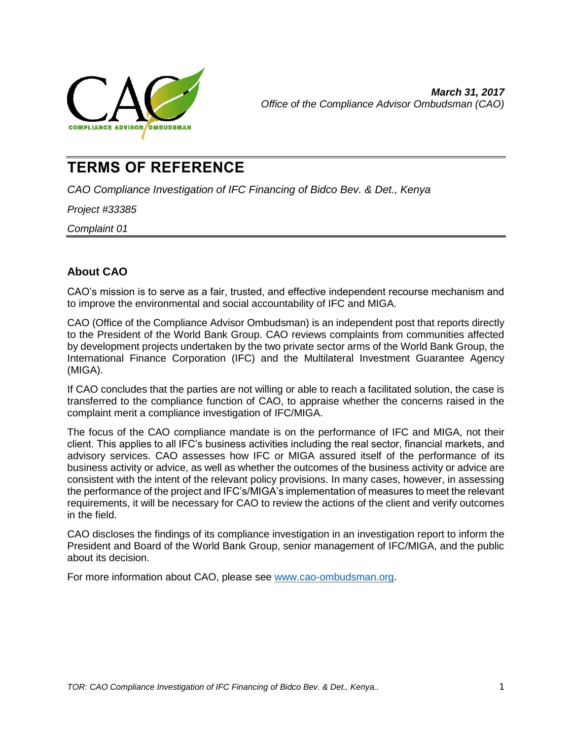

# **TERMS OF REFERENCE**

*CAO Compliance Investigation of IFC Financing of Bidco Bev. & Det., Kenya*

*Project #33385*

*Complaint 01*

## **About CAO**

CAO's mission is to serve as a fair, trusted, and effective independent recourse mechanism and to improve the environmental and social accountability of IFC and MIGA.

CAO (Office of the Compliance Advisor Ombudsman) is an independent post that reports directly to the President of the World Bank Group. CAO reviews complaints from communities affected by development projects undertaken by the two private sector arms of the World Bank Group, the International Finance Corporation (IFC) and the Multilateral Investment Guarantee Agency (MIGA).

If CAO concludes that the parties are not willing or able to reach a facilitated solution, the case is transferred to the compliance function of CAO, to appraise whether the concerns raised in the complaint merit a compliance investigation of IFC/MIGA.

The focus of the CAO compliance mandate is on the performance of IFC and MIGA, not their client. This applies to all IFC's business activities including the real sector, financial markets, and advisory services. CAO assesses how IFC or MIGA assured itself of the performance of its business activity or advice, as well as whether the outcomes of the business activity or advice are consistent with the intent of the relevant policy provisions. In many cases, however, in assessing the performance of the project and IFC's/MIGA's implementation of measures to meet the relevant requirements, it will be necessary for CAO to review the actions of the client and verify outcomes in the field.

CAO discloses the findings of its compliance investigation in an investigation report to inform the President and Board of the World Bank Group, senior management of IFC/MIGA, and the public about its decision.

For more information about CAO, please see [www.cao-ombudsman.org.](http://www.cao-ombudsman.org/)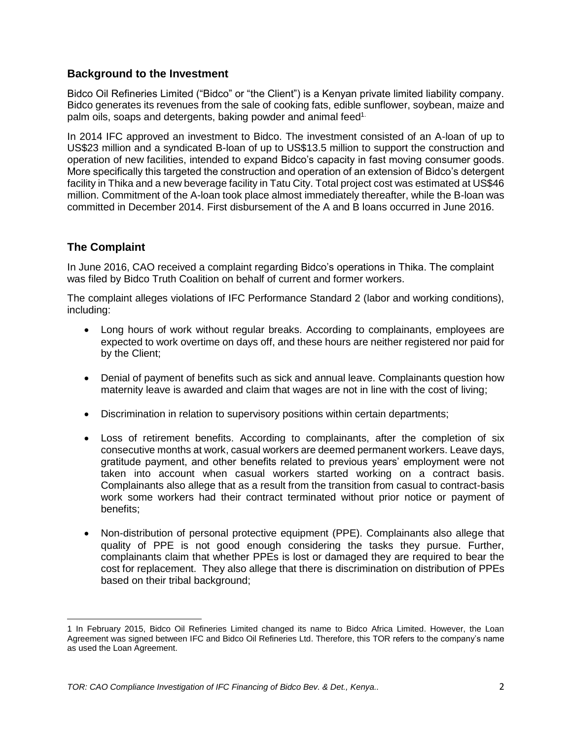#### **Background to the Investment**

Bidco Oil Refineries Limited ("Bidco" or "the Client") is a Kenyan private limited liability company. Bidco generates its revenues from the sale of cooking fats, edible sunflower, soybean, maize and palm oils, soaps and detergents, baking powder and animal feed<sup>1.</sup>

In 2014 IFC approved an investment to Bidco. The investment consisted of an A-loan of up to US\$23 million and a syndicated B-loan of up to US\$13.5 million to support the construction and operation of new facilities, intended to expand Bidco's capacity in fast moving consumer goods. More specifically this targeted the construction and operation of an extension of Bidco's detergent facility in Thika and a new beverage facility in Tatu City. Total project cost was estimated at US\$46 million. Commitment of the A-loan took place almost immediately thereafter, while the B-loan was committed in December 2014. First disbursement of the A and B loans occurred in June 2016.

#### **The Complaint**

 $\overline{\phantom{a}}$ 

In June 2016, CAO received a complaint regarding Bidco's operations in Thika. The complaint was filed by Bidco Truth Coalition on behalf of current and former workers.

The complaint alleges violations of IFC Performance Standard 2 (labor and working conditions), including:

- Long hours of work without regular breaks. According to complainants, employees are expected to work overtime on days off, and these hours are neither registered nor paid for by the Client;
- Denial of payment of benefits such as sick and annual leave. Complainants question how maternity leave is awarded and claim that wages are not in line with the cost of living;
- Discrimination in relation to supervisory positions within certain departments;
- Loss of retirement benefits. According to complainants, after the completion of six consecutive months at work, casual workers are deemed permanent workers. Leave days, gratitude payment, and other benefits related to previous years' employment were not taken into account when casual workers started working on a contract basis. Complainants also allege that as a result from the transition from casual to contract-basis work some workers had their contract terminated without prior notice or payment of benefits;
- Non-distribution of personal protective equipment (PPE). Complainants also allege that quality of PPE is not good enough considering the tasks they pursue. Further, complainants claim that whether PPEs is lost or damaged they are required to bear the cost for replacement. They also allege that there is discrimination on distribution of PPEs based on their tribal background;

<sup>1</sup> In February 2015, Bidco Oil Refineries Limited changed its name to Bidco Africa Limited. However, the Loan Agreement was signed between IFC and Bidco Oil Refineries Ltd. Therefore, this TOR refers to the company's name as used the Loan Agreement.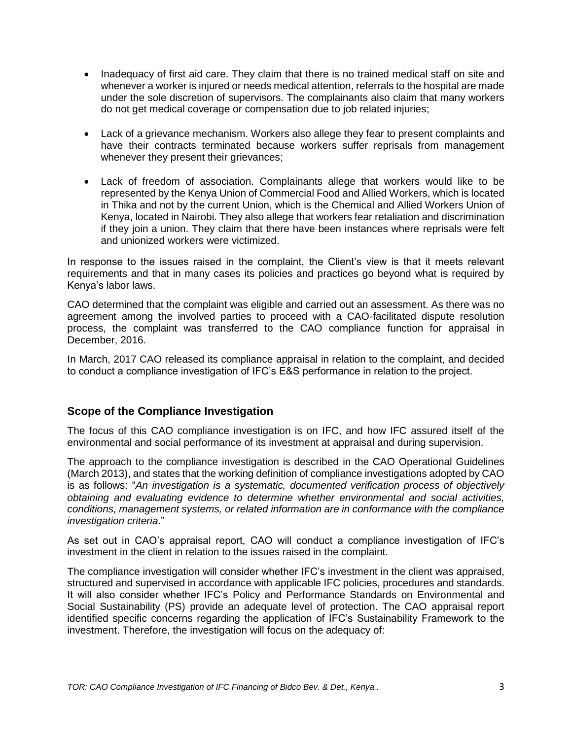- Inadequacy of first aid care. They claim that there is no trained medical staff on site and whenever a worker is injured or needs medical attention, referrals to the hospital are made under the sole discretion of supervisors. The complainants also claim that many workers do not get medical coverage or compensation due to job related injuries;
- Lack of a grievance mechanism. Workers also allege they fear to present complaints and have their contracts terminated because workers suffer reprisals from management whenever they present their grievances;
- Lack of freedom of association. Complainants allege that workers would like to be represented by the Kenya Union of Commercial Food and Allied Workers, which is located in Thika and not by the current Union, which is the Chemical and Allied Workers Union of Kenya, located in Nairobi. They also allege that workers fear retaliation and discrimination if they join a union. They claim that there have been instances where reprisals were felt and unionized workers were victimized.

In response to the issues raised in the complaint, the Client's view is that it meets relevant requirements and that in many cases its policies and practices go beyond what is required by Kenya's labor laws.

CAO determined that the complaint was eligible and carried out an assessment. As there was no agreement among the involved parties to proceed with a CAO-facilitated dispute resolution process, the complaint was transferred to the CAO compliance function for appraisal in December, 2016.

In March, 2017 CAO released its compliance appraisal in relation to the complaint, and decided to conduct a compliance investigation of IFC's E&S performance in relation to the project.

#### **Scope of the Compliance Investigation**

The focus of this CAO compliance investigation is on IFC, and how IFC assured itself of the environmental and social performance of its investment at appraisal and during supervision.

The approach to the compliance investigation is described in the CAO Operational Guidelines (March 2013), and states that the working definition of compliance investigations adopted by CAO is as follows: "*An investigation is a systematic, documented verification process of objectively obtaining and evaluating evidence to determine whether environmental and social activities, conditions, management systems, or related information are in conformance with the compliance investigation criteria*."

As set out in CAO's appraisal report, CAO will conduct a compliance investigation of IFC's investment in the client in relation to the issues raised in the complaint.

The compliance investigation will consider whether IFC's investment in the client was appraised, structured and supervised in accordance with applicable IFC policies, procedures and standards. It will also consider whether IFC's Policy and Performance Standards on Environmental and Social Sustainability (PS) provide an adequate level of protection. The CAO appraisal report identified specific concerns regarding the application of IFC's Sustainability Framework to the investment. Therefore, the investigation will focus on the adequacy of: